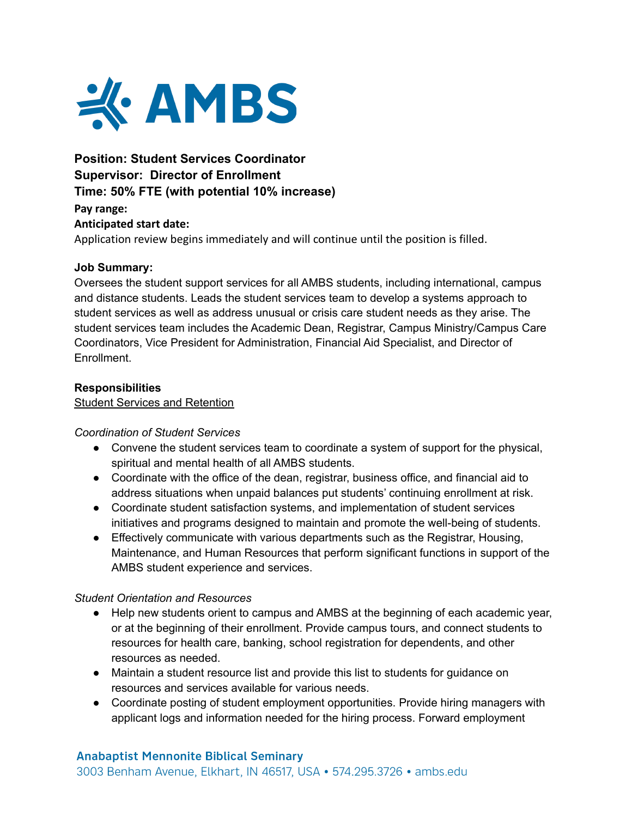

# **Position: Student Services Coordinator Supervisor: Director of Enrollment Time: 50% FTE (with potential 10% increase)**

**Pay range: Anticipated start date:** Application review begins immediately and will continue until the position is filled.

## **Job Summary:**

Oversees the student support services for all AMBS students, including international, campus and distance students. Leads the student services team to develop a systems approach to student services as well as address unusual or crisis care student needs as they arise. The student services team includes the Academic Dean, Registrar, Campus Ministry/Campus Care Coordinators, Vice President for Administration, Financial Aid Specialist, and Director of Enrollment.

## **Responsibilities**

Student Services and Retention

#### *Coordination of Student Services*

- Convene the student services team to coordinate a system of support for the physical, spiritual and mental health of all AMBS students.
- Coordinate with the office of the dean, registrar, business office, and financial aid to address situations when unpaid balances put students' continuing enrollment at risk.
- Coordinate student satisfaction systems, and implementation of student services initiatives and programs designed to maintain and promote the well-being of students.
- Effectively communicate with various departments such as the Registrar, Housing, Maintenance, and Human Resources that perform significant functions in support of the AMBS student experience and services.

#### *Student Orientation and Resources*

- Help new students orient to campus and AMBS at the beginning of each academic year, or at the beginning of their enrollment. Provide campus tours, and connect students to resources for health care, banking, school registration for dependents, and other resources as needed.
- Maintain a student resource list and provide this list to students for guidance on resources and services available for various needs.
- Coordinate posting of student employment opportunities. Provide hiring managers with applicant logs and information needed for the hiring process. Forward employment

#### **Anabaptist Mennonite Biblical Seminary**

3003 Benham Avenue, Elkhart, IN 46517, USA • 574.295.3726 • ambs.edu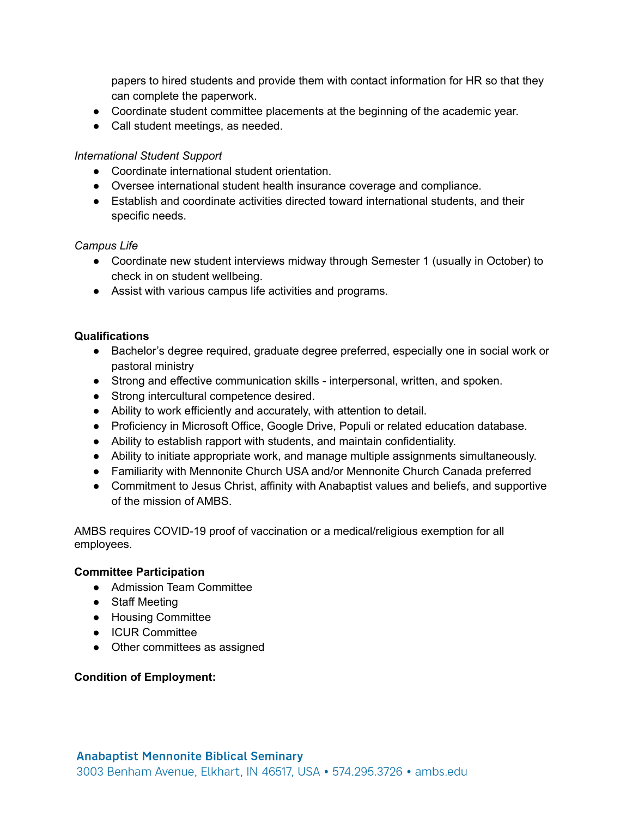papers to hired students and provide them with contact information for HR so that they can complete the paperwork.

- Coordinate student committee placements at the beginning of the academic year.
- Call student meetings, as needed.

#### *International Student Support*

- Coordinate international student orientation.
- Oversee international student health insurance coverage and compliance.
- Establish and coordinate activities directed toward international students, and their specific needs.

#### *Campus Life*

- Coordinate new student interviews midway through Semester 1 (usually in October) to check in on student wellbeing.
- Assist with various campus life activities and programs.

#### **Qualifications**

- Bachelor's degree required, graduate degree preferred, especially one in social work or pastoral ministry
- Strong and effective communication skills interpersonal, written, and spoken.
- Strong intercultural competence desired.
- Ability to work efficiently and accurately, with attention to detail.
- Proficiency in Microsoft Office, Google Drive, Populi or related education database.
- Ability to establish rapport with students, and maintain confidentiality.
- Ability to initiate appropriate work, and manage multiple assignments simultaneously.
- Familiarity with Mennonite Church USA and/or Mennonite Church Canada preferred
- Commitment to Jesus Christ, affinity with Anabaptist values and beliefs, and supportive of the mission of AMBS.

AMBS requires COVID-19 proof of vaccination or a medical/religious exemption for all employees.

#### **Committee Participation**

- Admission Team Committee
- Staff Meeting
- Housing Committee
- ICUR Committee
- Other committees as assigned

#### **Condition of Employment:**